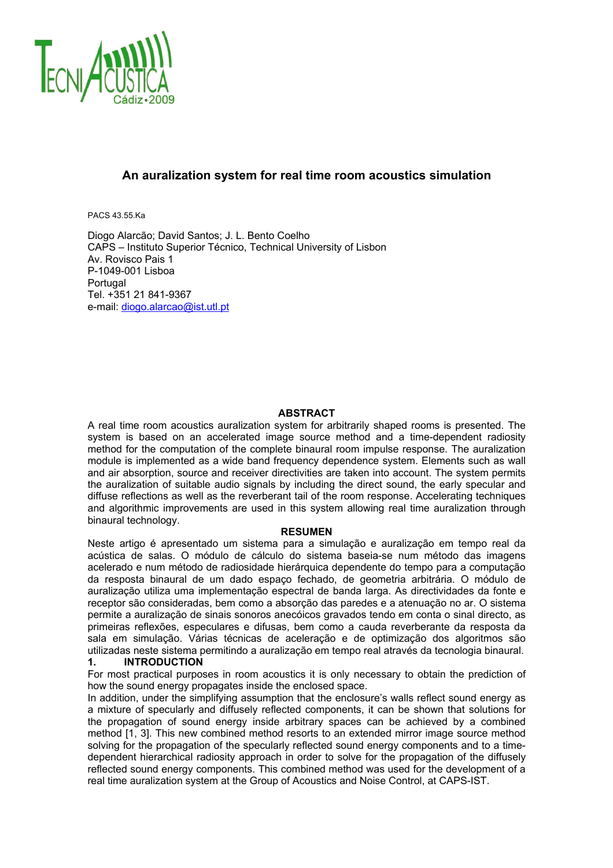

## **An auralization system for real time room acoustics simulation**

PACS 43.55.Ka

Diogo Alarcão; David Santos; J. L. Bento Coelho CAPS – Instituto Superior Técnico, Technical University of Lisbon Av. Rovisco Pais 1 P-1049-001 Lisboa Portugal Tel. +351 21 841-9367 e-mail: diogo.alarcao@ist.utl.pt

#### **ABSTRACT**

A real time room acoustics auralization system for arbitrarily shaped rooms is presented. The system is based on an accelerated image source method and a time-dependent radiosity method for the computation of the complete binaural room impulse response. The auralization module is implemented as a wide band frequency dependence system. Elements such as wall and air absorption, source and receiver directivities are taken into account. The system permits the auralization of suitable audio signals by including the direct sound, the early specular and diffuse reflections as well as the reverberant tail of the room response. Accelerating techniques and algorithmic improvements are used in this system allowing real time auralization through binaural technology.

#### **RESUMEN**

Neste artigo é apresentado um sistema para a simulação e auralização em tempo real da acústica de salas. O módulo de cálculo do sistema baseia-se num método das imagens acelerado e num método de radiosidade hierárquica dependente do tempo para a computação da resposta binaural de um dado espaço fechado, de geometria arbitrária. O módulo de auralização utiliza uma implementação espectral de banda larga. As directividades da fonte e receptor são consideradas, bem como a absorção das paredes e a atenuação no ar. O sistema permite a auralização de sinais sonoros anecóicos gravados tendo em conta o sinal directo, as primeiras reflexões, especulares e difusas, bem como a cauda reverberante da resposta da sala em simulação. Várias técnicas de aceleração e de optimização dos algoritmos são utilizadas neste sistema permitindo a auralização em tempo real através da tecnologia binaural.

## **1. INTRODUCTION**

For most practical purposes in room acoustics it is only necessary to obtain the prediction of how the sound energy propagates inside the enclosed space.

In addition, under the simplifying assumption that the enclosure's walls reflect sound energy as a mixture of specularly and diffusely reflected components, it can be shown that solutions for the propagation of sound energy inside arbitrary spaces can be achieved by a combined method [1, 3]. This new combined method resorts to an extended mirror image source method solving for the propagation of the specularly reflected sound energy components and to a timedependent hierarchical radiosity approach in order to solve for the propagation of the diffusely reflected sound energy components. This combined method was used for the development of a real time auralization system at the Group of Acoustics and Noise Control, at CAPS-IST.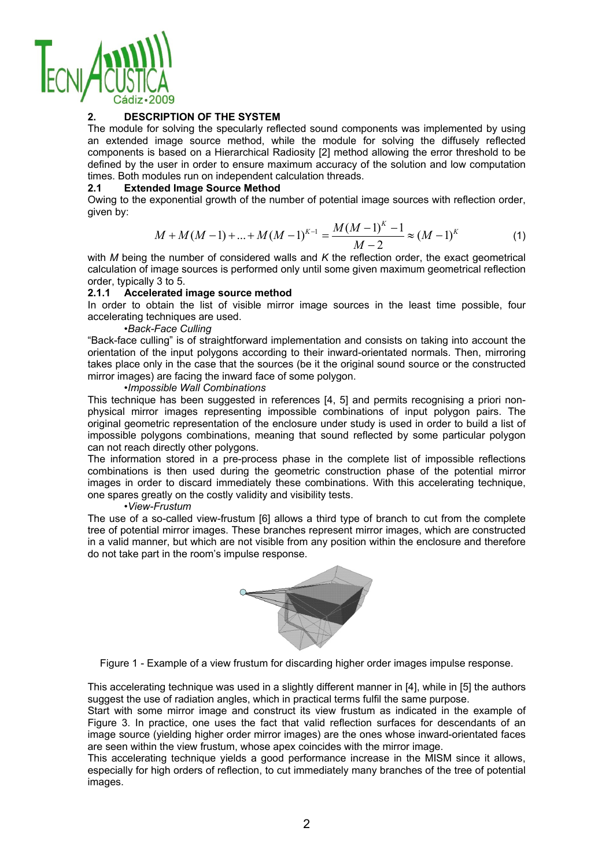

## **2. DESCRIPTION OF THE SYSTEM**

The module for solving the specularly reflected sound components was implemented by using an extended image source method, while the module for solving the diffusely reflected components is based on a Hierarchical Radiosity [2] method allowing the error threshold to be defined by the user in order to ensure maximum accuracy of the solution and low computation times. Both modules run on independent calculation threads.

#### **2.1 Extended Image Source Method**

Owing to the exponential growth of the number of potential image sources with reflection order, given by:

$$
M + M(M-1) + ... + M(M-1)^{K-1} = \frac{M(M-1)^K - 1}{M-2} \approx (M-1)^K
$$
 (1)

with *M* being the number of considered walls and *K* the reflection order, the exact geometrical calculation of image sources is performed only until some given maximum geometrical reflection order, typically 3 to 5.

## **2.1.1 Accelerated image source method**

In order to obtain the list of visible mirror image sources in the least time possible, four accelerating techniques are used.

#### *•Back-Face Culling*

"Back-face culling" is of straightforward implementation and consists on taking into account the orientation of the input polygons according to their inward-orientated normals. Then, mirroring takes place only in the case that the sources (be it the original sound source or the constructed mirror images) are facing the inward face of some polygon.

## *•Impossible Wall Combinations*

This technique has been suggested in references [4, 5] and permits recognising a priori nonphysical mirror images representing impossible combinations of input polygon pairs. The original geometric representation of the enclosure under study is used in order to build a list of impossible polygons combinations, meaning that sound reflected by some particular polygon can not reach directly other polygons.

The information stored in a pre-process phase in the complete list of impossible reflections combinations is then used during the geometric construction phase of the potential mirror images in order to discard immediately these combinations. With this accelerating technique, one spares greatly on the costly validity and visibility tests.

#### *•View-Frustum*

The use of a so-called view-frustum [6] allows a third type of branch to cut from the complete tree of potential mirror images. These branches represent mirror images, which are constructed in a valid manner, but which are not visible from any position within the enclosure and therefore do not take part in the room's impulse response.



Figure 1 - Example of a view frustum for discarding higher order images impulse response.

This accelerating technique was used in a slightly different manner in [4], while in [5] the authors suggest the use of radiation angles, which in practical terms fulfil the same purpose.

Start with some mirror image and construct its view frustum as indicated in the example of Figure 3. In practice, one uses the fact that valid reflection surfaces for descendants of an image source (yielding higher order mirror images) are the ones whose inward-orientated faces are seen within the view frustum, whose apex coincides with the mirror image.

This accelerating technique yields a good performance increase in the MISM since it allows, especially for high orders of reflection, to cut immediately many branches of the tree of potential images.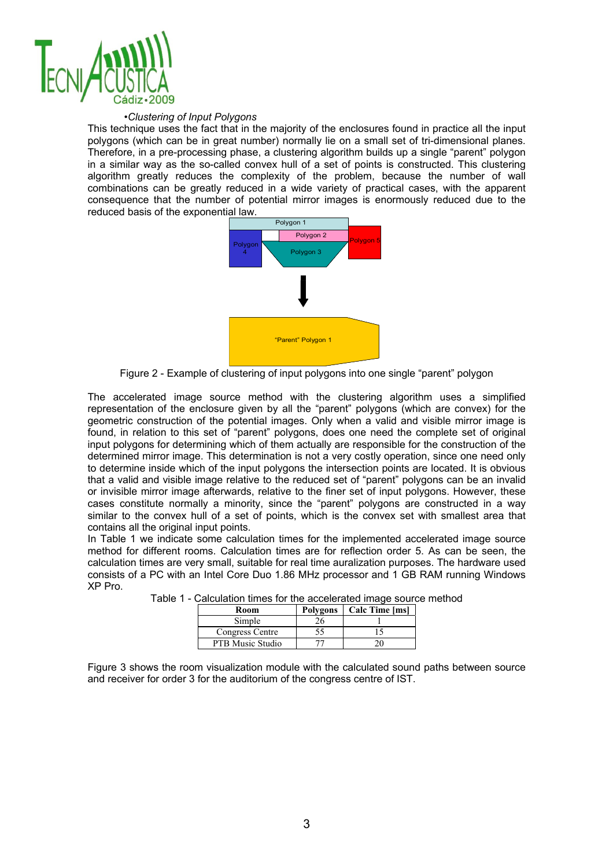

#### *•Clustering of Input Polygons*

This technique uses the fact that in the majority of the enclosures found in practice all the input polygons (which can be in great number) normally lie on a small set of tri-dimensional planes. Therefore, in a pre-processing phase, a clustering algorithm builds up a single "parent" polygon in a similar way as the so-called convex hull of a set of points is constructed. This clustering algorithm greatly reduces the complexity of the problem, because the number of wall combinations can be greatly reduced in a wide variety of practical cases, with the apparent consequence that the number of potential mirror images is enormously reduced due to the reduced basis of the exponential law.



Figure 2 - Example of clustering of input polygons into one single "parent" polygon

The accelerated image source method with the clustering algorithm uses a simplified representation of the enclosure given by all the "parent" polygons (which are convex) for the geometric construction of the potential images. Only when a valid and visible mirror image is found, in relation to this set of "parent" polygons, does one need the complete set of original input polygons for determining which of them actually are responsible for the construction of the determined mirror image. This determination is not a very costly operation, since one need only to determine inside which of the input polygons the intersection points are located. It is obvious that a valid and visible image relative to the reduced set of "parent" polygons can be an invalid or invisible mirror image afterwards, relative to the finer set of input polygons. However, these cases constitute normally a minority, since the "parent" polygons are constructed in a way similar to the convex hull of a set of points, which is the convex set with smallest area that contains all the original input points.

In Table 1 we indicate some calculation times for the implemented accelerated image source method for different rooms. Calculation times are for reflection order 5. As can be seen, the calculation times are very small, suitable for real time auralization purposes. The hardware used consists of a PC with an Intel Core Duo 1.86 MHz processor and 1 GB RAM running Windows XP Pro.

| Room             | Polygons | Calc Time [ms] |  |  |
|------------------|----------|----------------|--|--|
| Simple           |          |                |  |  |
| Congress Centre  |          |                |  |  |
| PTB Music Studio |          |                |  |  |

|  |  |  |  | Table 1 - Calculation times for the accelerated image source method |  |  |  |
|--|--|--|--|---------------------------------------------------------------------|--|--|--|
|--|--|--|--|---------------------------------------------------------------------|--|--|--|

Figure 3 shows the room visualization module with the calculated sound paths between source and receiver for order 3 for the auditorium of the congress centre of IST.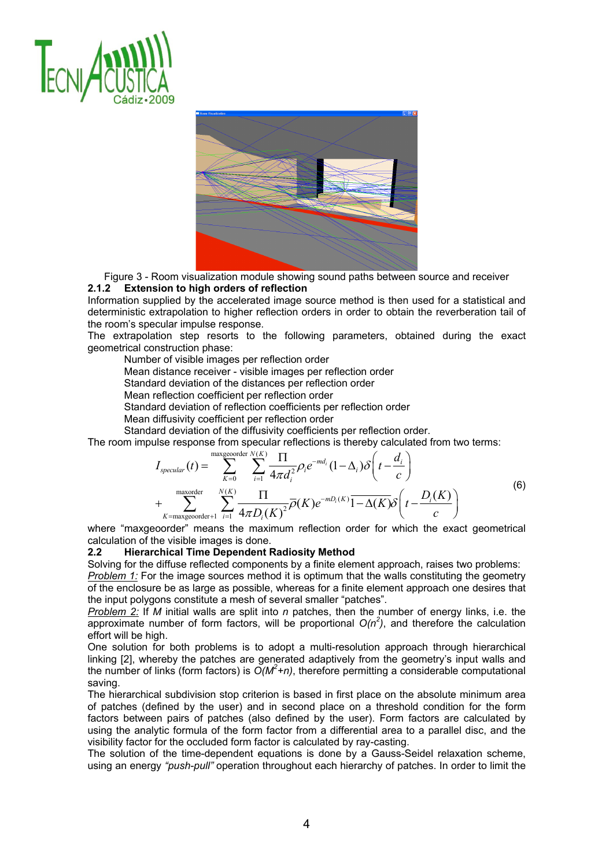



Figure 3 - Room visualization module showing sound paths between source and receiver **2.1.2 Extension to high orders of reflection** 

Information supplied by the accelerated image source method is then used for a statistical and deterministic extrapolation to higher reflection orders in order to obtain the reverberation tail of the room's specular impulse response.

The extrapolation step resorts to the following parameters, obtained during the exact geometrical construction phase:

Number of visible images per reflection order

Mean distance receiver - visible images per reflection order

Standard deviation of the distances per reflection order

Mean reflection coefficient per reflection order

Standard deviation of reflection coefficients per reflection order

Mean diffusivity coefficient per reflection order

Standard deviation of the diffusivity coefficients per reflection order.

The room impulse response from specular reflections is thereby calculated from two terms:

$$
I_{\text{specular}}(t) = \sum_{K=0}^{\text{maxgeorder}} \sum_{i=1}^{N(K)} \frac{\prod}{4\pi d_i^2} \rho_i e^{-md_i} (1 - \Delta_i) \delta\left(t - \frac{d_i}{c}\right)
$$
  
+ 
$$
\sum_{K=\text{maxgeorder}+1}^{\text{maxorder}} \sum_{i=1}^{N(K)} \frac{\prod}{4\pi D_i(K)^2} \overline{\rho}(K) e^{-mD_i(K)} \overline{1 - \Delta(K)} \delta\left(t - \frac{D_i(K)}{c}\right)
$$
(6)

where "maxgeoorder" means the maximum reflection order for which the exact geometrical calculation of the visible images is done.

#### **2.2 Hierarchical Time Dependent Radiosity Method**

Solving for the diffuse reflected components by a finite element approach, raises two problems: *Problem 1:* For the image sources method it is optimum that the walls constituting the geometry of the enclosure be as large as possible, whereas for a finite element approach one desires that

the input polygons constitute a mesh of several smaller "patches". *Problem 2:* If *M* initial walls are split into *n* patches, then the number of energy links, i.e. the

approximate number of form factors, will be proportional  $O(n^2)$ , and therefore the calculation effort will be high.

One solution for both problems is to adopt a multi-resolution approach through hierarchical linking [2], whereby the patches are generated adaptively from the geometry's input walls and the number of links (form factors) is  $O(M^2+n)$ , therefore permitting a considerable computational saving.

The hierarchical subdivision stop criterion is based in first place on the absolute minimum area of patches (defined by the user) and in second place on a threshold condition for the form factors between pairs of patches (also defined by the user). Form factors are calculated by using the analytic formula of the form factor from a differential area to a parallel disc, and the visibility factor for the occluded form factor is calculated by ray-casting.

The solution of the time-dependent equations is done by a Gauss-Seidel relaxation scheme, using an energy *"push-pull"* operation throughout each hierarchy of patches. In order to limit the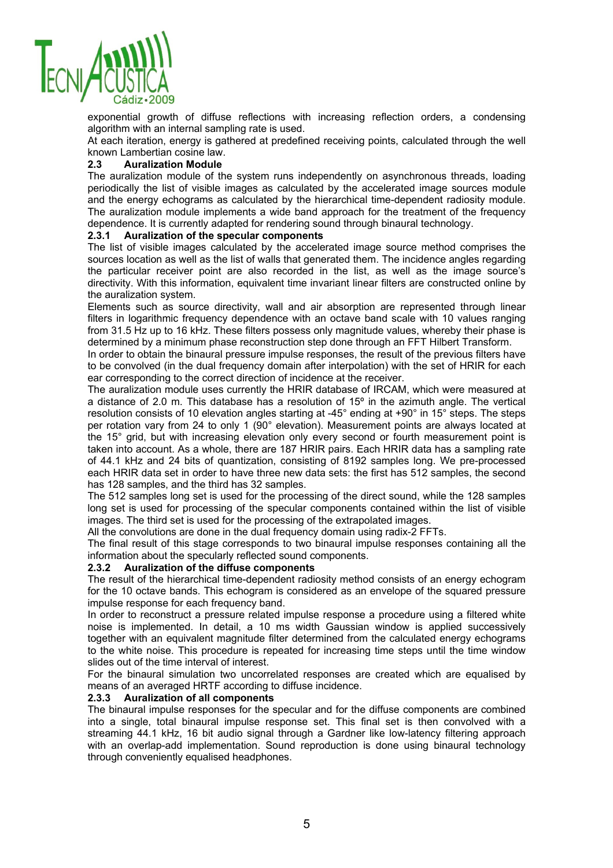

exponential growth of diffuse reflections with increasing reflection orders, a condensing algorithm with an internal sampling rate is used.

At each iteration, energy is gathered at predefined receiving points, calculated through the well known Lambertian cosine law.

## **2.3 Auralization Module**

The auralization module of the system runs independently on asynchronous threads, loading periodically the list of visible images as calculated by the accelerated image sources module and the energy echograms as calculated by the hierarchical time-dependent radiosity module. The auralization module implements a wide band approach for the treatment of the frequency dependence. It is currently adapted for rendering sound through binaural technology.

## **2.3.1 Auralization of the specular components**

The list of visible images calculated by the accelerated image source method comprises the sources location as well as the list of walls that generated them. The incidence angles regarding the particular receiver point are also recorded in the list, as well as the image source's directivity. With this information, equivalent time invariant linear filters are constructed online by the auralization system.

Elements such as source directivity, wall and air absorption are represented through linear filters in logarithmic frequency dependence with an octave band scale with 10 values ranging from 31.5 Hz up to 16 kHz. These filters possess only magnitude values, whereby their phase is determined by a minimum phase reconstruction step done through an FFT Hilbert Transform.

In order to obtain the binaural pressure impulse responses, the result of the previous filters have to be convolved (in the dual frequency domain after interpolation) with the set of HRIR for each ear corresponding to the correct direction of incidence at the receiver.

The auralization module uses currently the HRIR database of IRCAM, which were measured at a distance of 2.0 m. This database has a resolution of  $15^{\circ}$  in the azimuth angle. The vertical resolution consists of 10 elevation angles starting at -45° ending at +90° in 15° steps. The steps per rotation vary from 24 to only 1 (90° elevation). Measurement points are always located at the 15° grid, but with increasing elevation only every second or fourth measurement point is taken into account. As a whole, there are 187 HRIR pairs. Each HRIR data has a sampling rate of 44.1 kHz and 24 bits of quantization, consisting of 8192 samples long. We pre-processed each HRIR data set in order to have three new data sets: the first has 512 samples, the second has 128 samples, and the third has 32 samples.

The 512 samples long set is used for the processing of the direct sound, while the 128 samples long set is used for processing of the specular components contained within the list of visible images. The third set is used for the processing of the extrapolated images.

All the convolutions are done in the dual frequency domain using radix-2 FFTs.

The final result of this stage corresponds to two binaural impulse responses containing all the information about the specularly reflected sound components.

#### **2.3.2 Auralization of the diffuse components**

The result of the hierarchical time-dependent radiosity method consists of an energy echogram for the 10 octave bands. This echogram is considered as an envelope of the squared pressure impulse response for each frequency band.

In order to reconstruct a pressure related impulse response a procedure using a filtered white noise is implemented. In detail, a 10 ms width Gaussian window is applied successively together with an equivalent magnitude filter determined from the calculated energy echograms to the white noise. This procedure is repeated for increasing time steps until the time window slides out of the time interval of interest.

For the binaural simulation two uncorrelated responses are created which are equalised by means of an averaged HRTF according to diffuse incidence.

#### **2.3.3 Auralization of all components**

The binaural impulse responses for the specular and for the diffuse components are combined into a single, total binaural impulse response set. This final set is then convolved with a streaming 44.1 kHz, 16 bit audio signal through a Gardner like low-latency filtering approach with an overlap-add implementation. Sound reproduction is done using binaural technology through conveniently equalised headphones.